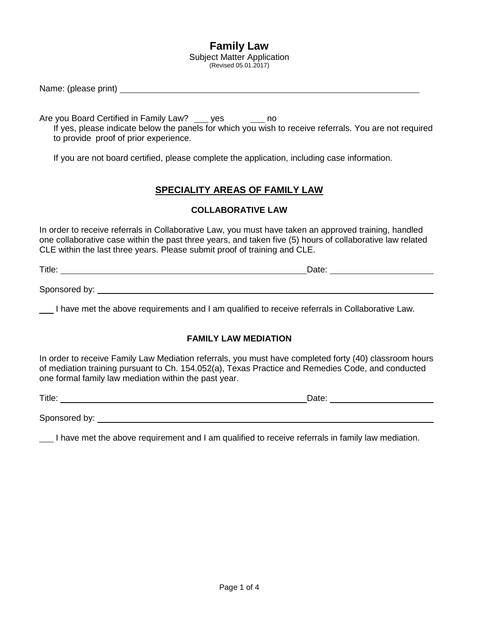# **Family Law**

Subject Matter Application (Revised 05.01.2017)

Name: (please print)

Are you Board Certified in Family Law? work yes the sound hold and the you Board

If yes, please indicate below the panels for which you wish to receive referrals. You are not required to provide proof of prior experience.

If you are not board certified, please complete the application, including case information.

## **SPECIALITY AREAS OF FAMILY LAW**

### **COLLABORATIVE LAW**

In order to receive referrals in Collaborative Law, you must have taken an approved training, handled one collaborative case within the past three years, and taken five (5) hours of collaborative law related CLE within the last three years. Please submit proof of training and CLE.

Title: Date: Date: Date: Date: Date: Date: Date: Date: Date: Date: Date: Date: Date: Date: Date: Date: Date: Date: Date: Date: Date: Date: Date: Date: Date: Date: Date: Date: Date: Date: Date: Date: Date: Date: Date: Date:

Sponsored by:  $\blacksquare$ 

I have met the above requirements and I am qualified to receive referrals in Collaborative Law.

#### **FAMILY LAW MEDIATION**

In order to receive Family Law Mediation referrals, you must have completed forty (40) classroom hours of mediation training pursuant to Ch. 154.052(a), Texas Practice and Remedies Code, and conducted one formal family law mediation within the past year.

Title: Date:

Sponsored by:

I have met the above requirement and I am qualified to receive referrals in family law mediation.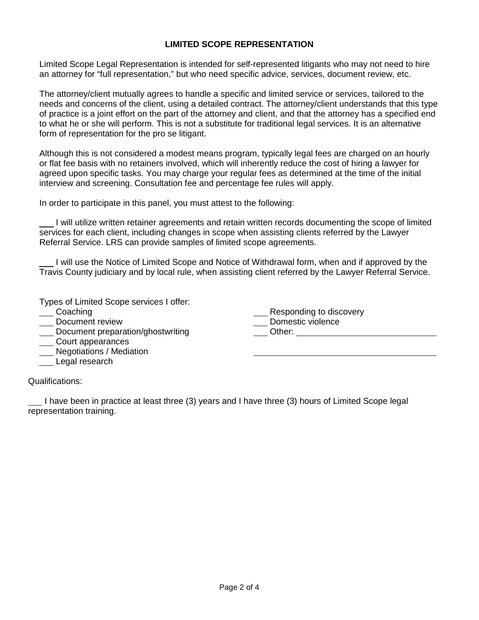## **LIMITED SCOPE REPRESENTATION**

Limited Scope Legal Representation is intended for self-represented litigants who may not need to hire an attorney for "full representation," but who need specific advice, services, document review, etc.

The attorney/client mutually agrees to handle a specific and limited service or services, tailored to the needs and concerns of the client, using a detailed contract. The attorney/client understands that this type of practice is a joint effort on the part of the attorney and client, and that the attorney has a specified end to what he or she will perform. This is not a substitute for traditional legal services. It is an alternative form of representation for the pro se litigant.

Although this is not considered a modest means program, typically legal fees are charged on an hourly or flat fee basis with no retainers involved, which will inherently reduce the cost of hiring a lawyer for agreed upon specific tasks. You may charge your regular fees as determined at the time of the initial interview and screening. Consultation fee and percentage fee rules will apply.

In order to participate in this panel, you must attest to the following:

I will utilize written retainer agreements and retain written records documenting the scope of limited services for each client, including changes in scope when assisting clients referred by the Lawyer Referral Service. LRS can provide samples of limited scope agreements.

I will use the Notice of Limited Scope and Notice of Withdrawal form, when and if approved by the Travis County judiciary and by local rule, when assisting client referred by the Lawyer Referral Service.

Types of Limited Scope services I offer:

- Coaching
- \_\_\_ Document review
- Document preparation/ghostwriting
- \_\_\_ Court appearances
- **Negotiations / Mediation**
- Legal research

Responding to discovery \_\_ Domestic violence

Other: **Example** 

Qualifications:

I have been in practice at least three (3) years and I have three (3) hours of Limited Scope legal representation training.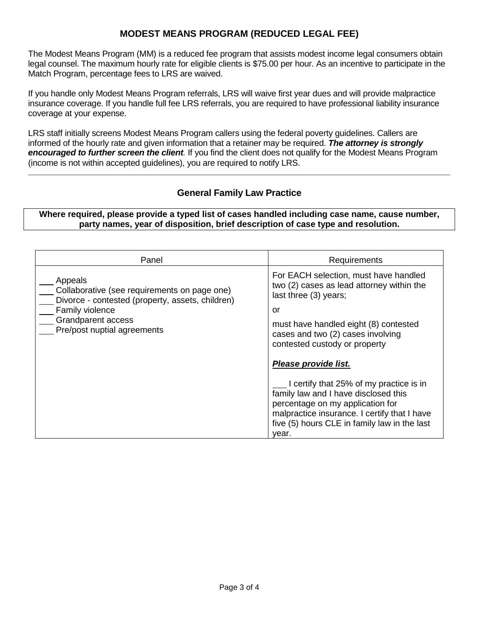## **MODEST MEANS PROGRAM (REDUCED LEGAL FEE)**

The Modest Means Program (MM) is a reduced fee program that assists modest income legal consumers obtain legal counsel. The maximum hourly rate for eligible clients is \$75.00 per hour. As an incentive to participate in the Match Program, percentage fees to LRS are waived.

If you handle only Modest Means Program referrals, LRS will waive first year dues and will provide malpractice insurance coverage. If you handle full fee LRS referrals, you are required to have professional liability insurance coverage at your expense.

LRS staff initially screens Modest Means Program callers using the federal poverty guidelines. Callers are informed of the hourly rate and given information that a retainer may be required. *The attorney is strongly encouraged to further screen the client.* If you find the client does not qualify for the Modest Means Program (income is not within accepted guidelines), you are required to notify LRS.

## **General Family Law Practice**

**Where required, please provide a typed list of cases handled including case name, cause number, party names, year of disposition, brief description of case type and resolution.**

| Panel                                                                                                                                                                                      | Requirements                                                                                                                                                                                                                                         |
|--------------------------------------------------------------------------------------------------------------------------------------------------------------------------------------------|------------------------------------------------------------------------------------------------------------------------------------------------------------------------------------------------------------------------------------------------------|
| Appeals<br>Collaborative (see requirements on page one)<br>Divorce - contested (property, assets, children)<br>Family violence<br><b>Grandparent access</b><br>Pre/post nuptial agreements | For EACH selection, must have handled<br>two (2) cases as lead attorney within the<br>last three (3) years;<br>or<br>must have handled eight (8) contested<br>cases and two (2) cases involving<br>contested custody or property                     |
|                                                                                                                                                                                            | Please provide list.<br>I certify that 25% of my practice is in<br>family law and I have disclosed this<br>percentage on my application for<br>malpractice insurance. I certify that I have<br>five (5) hours CLE in family law in the last<br>vear. |